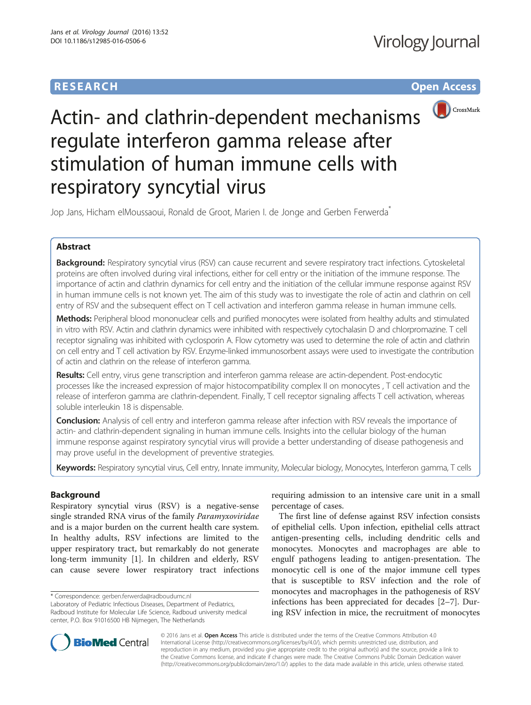# **RESEARCH CHE Open Access**



Actin- and clathrin-dependent mechanisms regulate interferon gamma release after stimulation of human immune cells with respiratory syncytial virus

Jop Jans, Hicham elMoussaoui, Ronald de Groot, Marien I. de Jonge and Gerben Ferwerda<sup>\*</sup>

## Abstract

Background: Respiratory syncytial virus (RSV) can cause recurrent and severe respiratory tract infections. Cytoskeletal proteins are often involved during viral infections, either for cell entry or the initiation of the immune response. The importance of actin and clathrin dynamics for cell entry and the initiation of the cellular immune response against RSV in human immune cells is not known yet. The aim of this study was to investigate the role of actin and clathrin on cell entry of RSV and the subsequent effect on T cell activation and interferon gamma release in human immune cells.

Methods: Peripheral blood mononuclear cells and purified monocytes were isolated from healthy adults and stimulated in vitro with RSV. Actin and clathrin dynamics were inhibited with respectively cytochalasin D and chlorpromazine. T cell receptor signaling was inhibited with cyclosporin A. Flow cytometry was used to determine the role of actin and clathrin on cell entry and T cell activation by RSV. Enzyme-linked immunosorbent assays were used to investigate the contribution of actin and clathrin on the release of interferon gamma.

Results: Cell entry, virus gene transcription and interferon gamma release are actin-dependent. Post-endocytic processes like the increased expression of major histocompatibility complex II on monocytes , T cell activation and the release of interferon gamma are clathrin-dependent. Finally, T cell receptor signaling affects T cell activation, whereas soluble interleukin 18 is dispensable.

**Conclusion:** Analysis of cell entry and interferon gamma release after infection with RSV reveals the importance of actin- and clathrin-dependent signaling in human immune cells. Insights into the cellular biology of the human immune response against respiratory syncytial virus will provide a better understanding of disease pathogenesis and may prove useful in the development of preventive strategies.

Keywords: Respiratory syncytial virus, Cell entry, Innate immunity, Molecular biology, Monocytes, Interferon gamma, T cells

## Background

Respiratory syncytial virus (RSV) is a negative-sense single stranded RNA virus of the family Paramyxoviridae and is a major burden on the current health care system. In healthy adults, RSV infections are limited to the upper respiratory tract, but remarkably do not generate long-term immunity [[1](#page-6-0)]. In children and elderly, RSV can cause severe lower respiratory tract infections

\* Correspondence: [gerben.ferwerda@radboudumc.nl](mailto:gerben.ferwerda@radboudumc.nl)

Laboratory of Pediatric Infectious Diseases, Department of Pediatrics, Radboud Institute for Molecular Life Science, Radboud university medical center, P.O. Box 91016500 HB Nijmegen, The Netherlands

requiring admission to an intensive care unit in a small percentage of cases.

The first line of defense against RSV infection consists of epithelial cells. Upon infection, epithelial cells attract antigen-presenting cells, including dendritic cells and monocytes. Monocytes and macrophages are able to engulf pathogens leading to antigen-presentation. The monocytic cell is one of the major immune cell types that is susceptible to RSV infection and the role of monocytes and macrophages in the pathogenesis of RSV infections has been appreciated for decades [\[2](#page-6-0)–[7\]](#page-6-0). During RSV infection in mice, the recruitment of monocytes



© 2016 Jans et al. Open Access This article is distributed under the terms of the Creative Commons Attribution 4.0 International License [\(http://creativecommons.org/licenses/by/4.0/](http://creativecommons.org/licenses/by/4.0/)), which permits unrestricted use, distribution, and reproduction in any medium, provided you give appropriate credit to the original author(s) and the source, provide a link to the Creative Commons license, and indicate if changes were made. The Creative Commons Public Domain Dedication waiver [\(http://creativecommons.org/publicdomain/zero/1.0/](http://creativecommons.org/publicdomain/zero/1.0/)) applies to the data made available in this article, unless otherwise stated.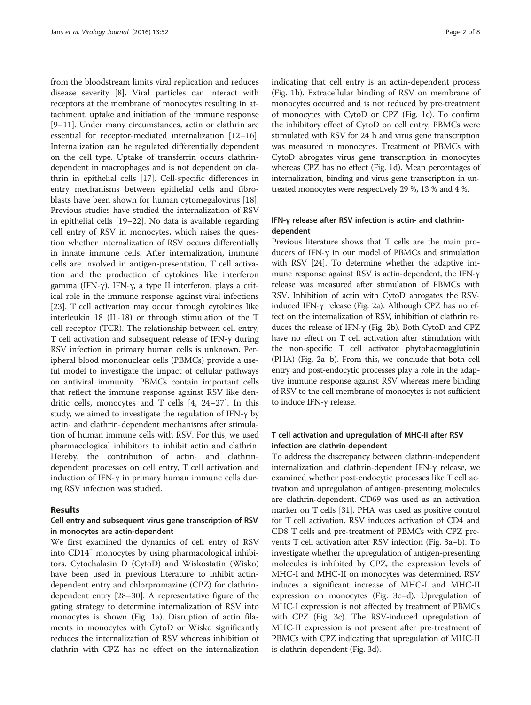from the bloodstream limits viral replication and reduces disease severity [[8\]](#page-6-0). Viral particles can interact with receptors at the membrane of monocytes resulting in attachment, uptake and initiation of the immune response [[9](#page-6-0)–[11\]](#page-6-0). Under many circumstances, actin or clathrin are essential for receptor-mediated internalization [[12](#page-6-0)–[16](#page-6-0)]. Internalization can be regulated differentially dependent on the cell type. Uptake of transferrin occurs clathrindependent in macrophages and is not dependent on clathrin in epithelial cells [\[17](#page-6-0)]. Cell-specific differences in entry mechanisms between epithelial cells and fibroblasts have been shown for human cytomegalovirus [\[18](#page-6-0)]. Previous studies have studied the internalization of RSV in epithelial cells [[19](#page-6-0)–[22](#page-7-0)]. No data is available regarding cell entry of RSV in monocytes, which raises the question whether internalization of RSV occurs differentially in innate immune cells. After internalization, immune cells are involved in antigen-presentation, T cell activation and the production of cytokines like interferon gamma (IFN-γ). IFN-γ, a type II interferon, plays a critical role in the immune response against viral infections [[23\]](#page-7-0). T cell activation may occur through cytokines like interleukin 18 (IL-18) or through stimulation of the T cell receptor (TCR). The relationship between cell entry, T cell activation and subsequent release of IFN-γ during RSV infection in primary human cells is unknown. Peripheral blood mononuclear cells (PBMCs) provide a useful model to investigate the impact of cellular pathways on antiviral immunity. PBMCs contain important cells that reflect the immune response against RSV like dendritic cells, monocytes and T cells [\[4,](#page-6-0) [24](#page-7-0)–[27\]](#page-7-0). In this study, we aimed to investigate the regulation of IFN-γ by actin- and clathrin-dependent mechanisms after stimulation of human immune cells with RSV. For this, we used pharmacological inhibitors to inhibit actin and clathrin. Hereby, the contribution of actin- and clathrindependent processes on cell entry, T cell activation and induction of IFN-γ in primary human immune cells during RSV infection was studied.

#### Results

## Cell entry and subsequent virus gene transcription of RSV in monocytes are actin-dependent

We first examined the dynamics of cell entry of RSV into CD14<sup>+</sup> monocytes by using pharmacological inhibitors. Cytochalasin D (CytoD) and Wiskostatin (Wisko) have been used in previous literature to inhibit actindependent entry and chlorpromazine (CPZ) for clathrindependent entry [[28](#page-7-0)–[30](#page-7-0)]. A representative figure of the gating strategy to determine internalization of RSV into monocytes is shown (Fig. [1a\)](#page-2-0). Disruption of actin filaments in monocytes with CytoD or Wisko significantly reduces the internalization of RSV whereas inhibition of clathrin with CPZ has no effect on the internalization

indicating that cell entry is an actin-dependent process (Fig. [1b](#page-2-0)). Extracellular binding of RSV on membrane of monocytes occurred and is not reduced by pre-treatment of monocytes with CytoD or CPZ (Fig. [1c\)](#page-2-0). To confirm the inhibitory effect of CytoD on cell entry, PBMCs were stimulated with RSV for 24 h and virus gene transcription was measured in monocytes. Treatment of PBMCs with CytoD abrogates virus gene transcription in monocytes whereas CPZ has no effect (Fig. [1d](#page-2-0)). Mean percentages of internalization, binding and virus gene transcription in untreated monocytes were respectively 29 %, 13 % and 4 %.

## IFN-γ release after RSV infection is actin- and clathrindependent

Previous literature shows that T cells are the main producers of IFN-γ in our model of PBMCs and stimulation with RSV [\[24\]](#page-7-0). To determine whether the adaptive immune response against RSV is actin-dependent, the IFN-γ release was measured after stimulation of PBMCs with RSV. Inhibition of actin with CytoD abrogates the RSVinduced IFN-γ release (Fig. [2a\)](#page-2-0). Although CPZ has no effect on the internalization of RSV, inhibition of clathrin reduces the release of IFN-γ (Fig. [2b](#page-2-0)). Both CytoD and CPZ have no effect on T cell activation after stimulation with the non-specific T cell activator phytohaemagglutinin (PHA) (Fig. [2a](#page-2-0)–[b\)](#page-2-0). From this, we conclude that both cell entry and post-endocytic processes play a role in the adaptive immune response against RSV whereas mere binding of RSV to the cell membrane of monocytes is not sufficient to induce IFN-γ release.

## T cell activation and upregulation of MHC-II after RSV infection are clathrin-dependent

To address the discrepancy between clathrin-independent internalization and clathrin-dependent IFN-γ release, we examined whether post-endocytic processes like T cell activation and upregulation of antigen-presenting molecules are clathrin-dependent. CD69 was used as an activation marker on T cells [\[31\]](#page-7-0). PHA was used as positive control for T cell activation. RSV induces activation of CD4 and CD8 T cells and pre-treatment of PBMCs with CPZ prevents T cell activation after RSV infection (Fig. [3a](#page-3-0)–[b](#page-3-0)). To investigate whether the upregulation of antigen-presenting molecules is inhibited by CPZ, the expression levels of MHC-I and MHC-II on monocytes was determined. RSV induces a significant increase of MHC-I and MHC-II expression on monocytes (Fig. [3c](#page-3-0)–[d](#page-3-0)). Upregulation of MHC-I expression is not affected by treatment of PBMCs with CPZ (Fig. [3c\)](#page-3-0). The RSV-induced upregulation of MHC-II expression is not present after pre-treatment of PBMCs with CPZ indicating that upregulation of MHC-II is clathrin-dependent (Fig. [3d](#page-3-0)).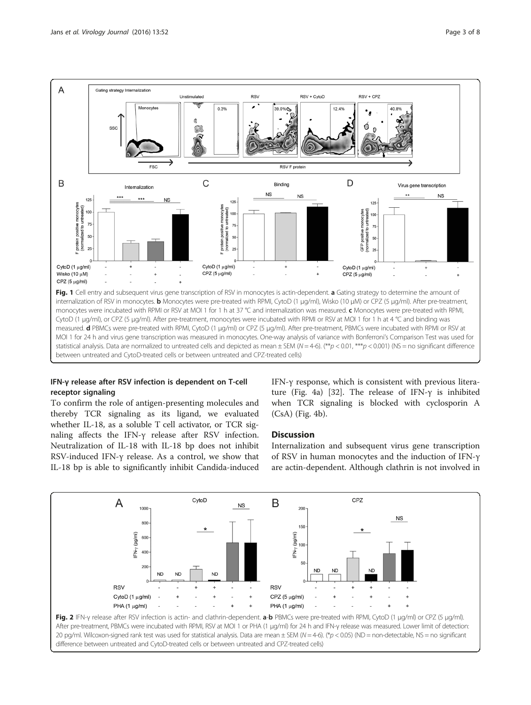<span id="page-2-0"></span>

## IFN-γ release after RSV infection is dependent on T-cell receptor signaling

To confirm the role of antigen-presenting molecules and thereby TCR signaling as its ligand, we evaluated whether IL-18, as a soluble T cell activator, or TCR signaling affects the IFN-γ release after RSV infection. Neutralization of IL-18 with IL-18 bp does not inhibit RSV-induced IFN-γ release. As a control, we show that IL-18 bp is able to significantly inhibit Candida-induced IFN-γ response, which is consistent with previous literature (Fig. [4a](#page-4-0)) [\[32](#page-7-0)]. The release of IFN-γ is inhibited when TCR signaling is blocked with cyclosporin A (CsA) (Fig. [4b](#page-4-0)).

## **Discussion**

Internalization and subsequent virus gene transcription of RSV in human monocytes and the induction of IFN-γ are actin-dependent. Although clathrin is not involved in

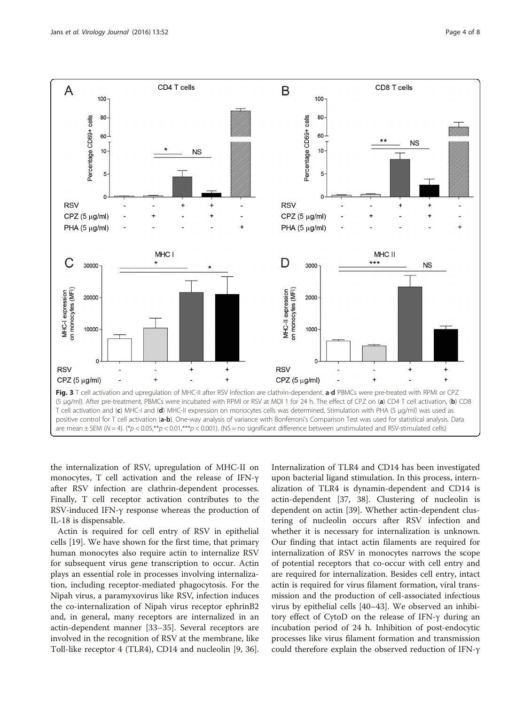<span id="page-3-0"></span>

the internalization of RSV, upregulation of MHC-II on monocytes, T cell activation and the release of IFN-γ after RSV infection are clathrin-dependent processes. Finally, T cell receptor activation contributes to the RSV-induced IFN-γ response whereas the production of IL-18 is dispensable.

Actin is required for cell entry of RSV in epithelial cells [[19](#page-6-0)]. We have shown for the first time, that primary human monocytes also require actin to internalize RSV for subsequent virus gene transcription to occur. Actin plays an essential role in processes involving internalization, including receptor-mediated phagocytosis. For the Nipah virus, a paramyxovirus like RSV, infection induces the co-internalization of Nipah virus receptor ephrinB2 and, in general, many receptors are internalized in an actin-dependent manner [[33](#page-7-0)–[35](#page-7-0)]. Several receptors are involved in the recognition of RSV at the membrane, like Toll-like receptor 4 (TLR4), CD14 and nucleolin [\[9,](#page-6-0) [36](#page-7-0)].

Internalization of TLR4 and CD14 has been investigated upon bacterial ligand stimulation. In this process, internalization of TLR4 is dynamin-dependent and CD14 is actin-dependent [\[37](#page-7-0), [38](#page-7-0)]. Clustering of nucleolin is dependent on actin [\[39\]](#page-7-0). Whether actin-dependent clustering of nucleolin occurs after RSV infection and whether it is necessary for internalization is unknown. Our finding that intact actin filaments are required for internalization of RSV in monocytes narrows the scope of potential receptors that co-occur with cell entry and are required for internalization. Besides cell entry, intact actin is required for virus filament formation, viral transmission and the production of cell-associated infectious virus by epithelial cells [[40](#page-7-0)–[43\]](#page-7-0). We observed an inhibitory effect of CytoD on the release of IFN-γ during an incubation period of 24 h. Inhibition of post-endocytic processes like virus filament formation and transmission could therefore explain the observed reduction of IFN-γ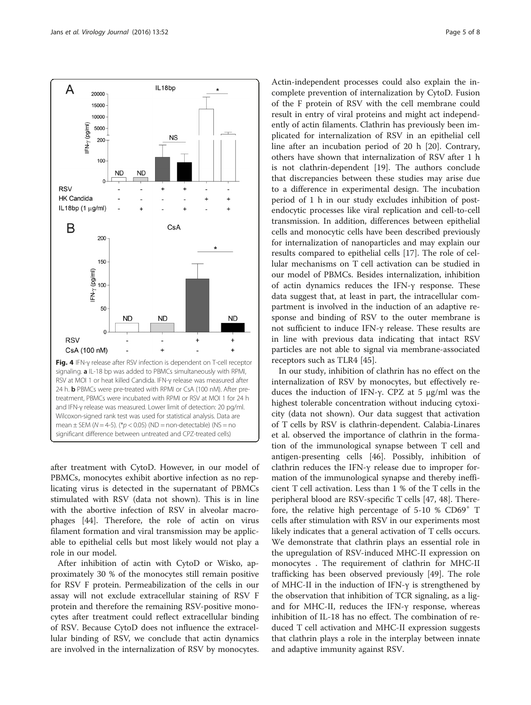<span id="page-4-0"></span>

after treatment with CytoD. However, in our model of PBMCs, monocytes exhibit abortive infection as no replicating virus is detected in the supernatant of PBMCs stimulated with RSV (data not shown). This is in line with the abortive infection of RSV in alveolar macrophages [[44\]](#page-7-0). Therefore, the role of actin on virus filament formation and viral transmission may be applicable to epithelial cells but most likely would not play a role in our model.

After inhibition of actin with CytoD or Wisko, approximately 30 % of the monocytes still remain positive for RSV F protein. Permeabilization of the cells in our assay will not exclude extracellular staining of RSV F protein and therefore the remaining RSV-positive monocytes after treatment could reflect extracellular binding of RSV. Because CytoD does not influence the extracellular binding of RSV, we conclude that actin dynamics are involved in the internalization of RSV by monocytes.

Actin-independent processes could also explain the incomplete prevention of internalization by CytoD. Fusion of the F protein of RSV with the cell membrane could result in entry of viral proteins and might act independently of actin filaments. Clathrin has previously been implicated for internalization of RSV in an epithelial cell line after an incubation period of 20 h [\[20](#page-6-0)]. Contrary, others have shown that internalization of RSV after 1 h is not clathrin-dependent [[19\]](#page-6-0). The authors conclude that discrepancies between these studies may arise due to a difference in experimental design. The incubation period of 1 h in our study excludes inhibition of postendocytic processes like viral replication and cell-to-cell transmission. In addition, differences between epithelial cells and monocytic cells have been described previously for internalization of nanoparticles and may explain our results compared to epithelial cells [\[17\]](#page-6-0). The role of cellular mechanisms on T cell activation can be studied in our model of PBMCs. Besides internalization, inhibition of actin dynamics reduces the IFN-γ response. These data suggest that, at least in part, the intracellular compartment is involved in the induction of an adaptive response and binding of RSV to the outer membrane is not sufficient to induce IFN-γ release. These results are in line with previous data indicating that intact RSV particles are not able to signal via membrane-associated receptors such as TLR4 [\[45](#page-7-0)].

In our study, inhibition of clathrin has no effect on the internalization of RSV by monocytes, but effectively reduces the induction of IFN-γ. CPZ at 5  $\mu$ g/ml was the highest tolerable concentration without inducing cytoxicity (data not shown). Our data suggest that activation of T cells by RSV is clathrin-dependent. Calabia-Linares et al. observed the importance of clathrin in the formation of the immunological synapse between T cell and antigen-presenting cells [\[46](#page-7-0)]. Possibly, inhibition of clathrin reduces the IFN-γ release due to improper formation of the immunological synapse and thereby inefficient T cell activation. Less than 1 % of the T cells in the peripheral blood are RSV-specific T cells [[47](#page-7-0), [48](#page-7-0)]. Therefore, the relative high percentage of  $5-10$  % CD69<sup>+</sup> T cells after stimulation with RSV in our experiments most likely indicates that a general activation of T cells occurs. We demonstrate that clathrin plays an essential role in the upregulation of RSV-induced MHC-II expression on monocytes . The requirement of clathrin for MHC-II trafficking has been observed previously [[49](#page-7-0)]. The role of MHC-II in the induction of IFN- $\gamma$  is strengthened by the observation that inhibition of TCR signaling, as a ligand for MHC-II, reduces the IFN-γ response, whereas inhibition of IL-18 has no effect. The combination of reduced T cell activation and MHC-II expression suggests that clathrin plays a role in the interplay between innate and adaptive immunity against RSV.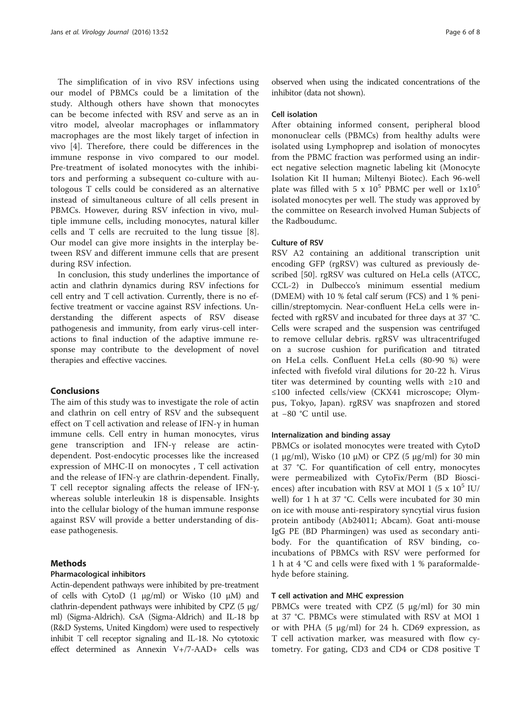The simplification of in vivo RSV infections using our model of PBMCs could be a limitation of the study. Although others have shown that monocytes can be become infected with RSV and serve as an in vitro model, alveolar macrophages or inflammatory macrophages are the most likely target of infection in vivo [[4\]](#page-6-0). Therefore, there could be differences in the immune response in vivo compared to our model. Pre-treatment of isolated monocytes with the inhibitors and performing a subsequent co-culture with autologous T cells could be considered as an alternative instead of simultaneous culture of all cells present in PBMCs. However, during RSV infection in vivo, multiple immune cells, including monocytes, natural killer cells and T cells are recruited to the lung tissue [\[8](#page-6-0)]. Our model can give more insights in the interplay between RSV and different immune cells that are present during RSV infection.

In conclusion, this study underlines the importance of actin and clathrin dynamics during RSV infections for cell entry and T cell activation. Currently, there is no effective treatment or vaccine against RSV infections. Understanding the different aspects of RSV disease pathogenesis and immunity, from early virus-cell interactions to final induction of the adaptive immune response may contribute to the development of novel therapies and effective vaccines.

#### **Conclusions**

The aim of this study was to investigate the role of actin and clathrin on cell entry of RSV and the subsequent effect on T cell activation and release of IFN-γ in human immune cells. Cell entry in human monocytes, virus gene transcription and IFN-γ release are actindependent. Post-endocytic processes like the increased expression of MHC-II on monocytes , T cell activation and the release of IFN-γ are clathrin-dependent. Finally, T cell receptor signaling affects the release of IFN-γ, whereas soluble interleukin 18 is dispensable. Insights into the cellular biology of the human immune response against RSV will provide a better understanding of disease pathogenesis.

#### Methods

#### Pharmacological inhibitors

Actin-dependent pathways were inhibited by pre-treatment of cells with CytoD  $(1 \mu g/ml)$  or Wisko  $(10 \mu M)$  and clathrin-dependent pathways were inhibited by CPZ (5 μg/ ml) (Sigma-Aldrich). CsA (Sigma-Aldrich) and IL-18 bp (R&D Systems, United Kingdom) were used to respectively inhibit T cell receptor signaling and IL-18. No cytotoxic effect determined as Annexin V+/7-AAD+ cells was

observed when using the indicated concentrations of the inhibitor (data not shown).

#### Cell isolation

After obtaining informed consent, peripheral blood mononuclear cells (PBMCs) from healthy adults were isolated using Lymphoprep and isolation of monocytes from the PBMC fraction was performed using an indirect negative selection magnetic labeling kit (Monocyte Isolation Kit II human; Miltenyi Biotec). Each 96-well plate was filled with 5 x  $10^5$  PBMC per well or  $1x10^5$ isolated monocytes per well. The study was approved by the committee on Research involved Human Subjects of the Radboudumc.

#### Culture of RSV

RSV A2 containing an additional transcription unit encoding GFP (rgRSV) was cultured as previously described [[50](#page-7-0)]. rgRSV was cultured on HeLa cells (ATCC, CCL-2) in Dulbecco's minimum essential medium (DMEM) with 10 % fetal calf serum (FCS) and 1 % penicillin/streptomycin. Near-confluent HeLa cells were infected with rgRSV and incubated for three days at 37 °C. Cells were scraped and the suspension was centrifuged to remove cellular debris. rgRSV was ultracentrifuged on a sucrose cushion for purification and titrated on HeLa cells. Confluent HeLa cells (80-90 %) were infected with fivefold viral dilutions for 20-22 h. Virus titer was determined by counting wells with ≥10 and ≤100 infected cells/view (CKX41 microscope; Olympus, Tokyo, Japan). rgRSV was snapfrozen and stored at −80 °C until use.

#### Internalization and binding assay

PBMCs or isolated monocytes were treated with CytoD (1 μg/ml), Wisko (10 μM) or CPZ (5 μg/ml) for 30 min at 37 °C. For quantification of cell entry, monocytes were permeabilized with CytoFix/Perm (BD Biosciences) after incubation with RSV at MOI 1 (5 x  $10^5$  IU/ well) for 1 h at 37 °C. Cells were incubated for 30 min on ice with mouse anti-respiratory syncytial virus fusion protein antibody (Ab24011; Abcam). Goat anti-mouse IgG PE (BD Pharmingen) was used as secondary antibody. For the quantification of RSV binding, coincubations of PBMCs with RSV were performed for 1 h at 4 °C and cells were fixed with 1 % paraformaldehyde before staining.

#### T cell activation and MHC expression

PBMCs were treated with CPZ (5 μg/ml) for 30 min at 37 °C. PBMCs were stimulated with RSV at MOI 1 or with PHA (5 μg/ml) for 24 h. CD69 expression, as T cell activation marker, was measured with flow cytometry. For gating, CD3 and CD4 or CD8 positive T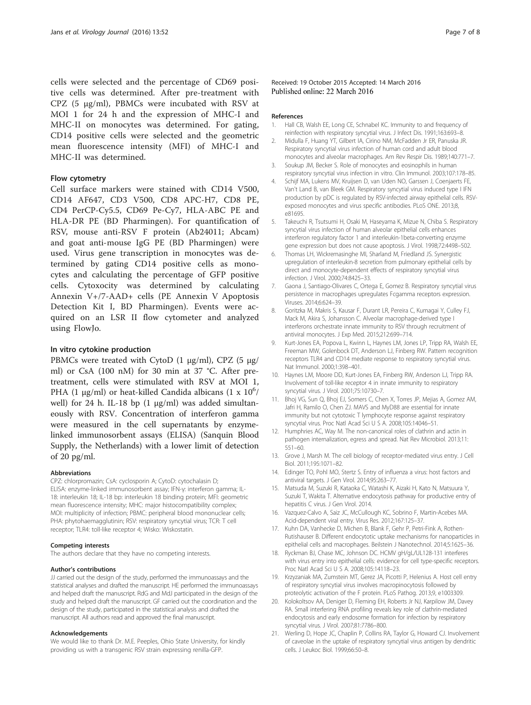<span id="page-6-0"></span>cells were selected and the percentage of CD69 positive cells was determined. After pre-treatment with CPZ (5 μg/ml), PBMCs were incubated with RSV at MOI 1 for 24 h and the expression of MHC-I and MHC-II on monocytes was determined. For gating, CD14 positive cells were selected and the geometric mean fluorescence intensity (MFI) of MHC-I and MHC-II was determined.

### Flow cytometry

Cell surface markers were stained with CD14 V500, CD14 AF647, CD3 V500, CD8 APC-H7, CD8 PE, CD4 PerCP-Cy5.5, CD69 Pe-Cy7, HLA-ABC PE and HLA-DR PE (BD Pharmingen). For quantification of RSV, mouse anti-RSV F protein (Ab24011; Abcam) and goat anti-mouse IgG PE (BD Pharmingen) were used. Virus gene transcription in monocytes was determined by gating CD14 positive cells as monocytes and calculating the percentage of GFP positive cells. Cytoxocity was determined by calculating Annexin V+/7-AAD+ cells (PE Annexin V Apoptosis Detection Kit I, BD Pharmingen). Events were acquired on an LSR II flow cytometer and analyzed using FlowJo.

#### In vitro cytokine production

PBMCs were treated with CytoD (1 μg/ml), CPZ (5 μg/ ml) or CsA (100 nM) for 30 min at 37 °C. After pretreatment, cells were stimulated with RSV at MOI 1, PHA (1  $\mu$ g/ml) or heat-killed Candida albicans (1 x  $10^6/$ well) for 24 h. IL-18 bp  $(1 \mu g/ml)$  was added simultaneously with RSV. Concentration of interferon gamma were measured in the cell supernatants by enzymelinked immunosorbent assays (ELISA) (Sanquin Blood Supply, the Netherlands) with a lower limit of detection of 20 pg/ml.

#### Abbreviations

CPZ: chlorpromazin; CsA: cyclosporin A; CytoD: cytochalasin D; ELISA: enzyme-linked immunosorbent assay; IFN-γ: interferon gamma; IL-18: interleukin 18; IL-18 bp: interleukin 18 binding protein; MFI: geometric mean fluorescence intensity; MHC: major histocompatibility complex; MOI: multiplicity of infection; PBMC: peripheral blood mononuclear cells; PHA: phytohaemagglutinin; RSV: respiratory syncytial virus; TCR: T cell receptor; TLR4: toll-like receptor 4; Wisko: Wiskostatin.

#### Competing interests

The authors declare that they have no competing interests.

#### Author's contributions

JJ carried out the design of the study, performed the immunoassays and the statistical analyses and drafted the manuscript. HE performed the immunoassays and helped draft the manuscript. RdG and MdJ participated in the design of the study and helped draft the manuscript. GF carried out the coordination and the design of the study, participated in the statistical analysis and drafted the manuscript. All authors read and approved the final manuscript.

#### Acknowledgements

We would like to thank Dr. M.E. Peeples, Ohio State University, for kindly providing us with a transgenic RSV strain expressing renilla-GFP.

Received: 19 October 2015 Accepted: 14 March 2016 Published online: 22 March 2016

#### References

- 1. Hall CB, Walsh EE, Long CE, Schnabel KC. Immunity to and frequency of reinfection with respiratory syncytial virus. J Infect Dis. 1991;163:693–8.
- 2. Midulla F, Huang YT, Gilbert IA, Cirino NM, McFadden Jr ER, Panuska JR. Respiratory syncytial virus infection of human cord and adult blood monocytes and alveolar macrophages. Am Rev Respir Dis. 1989;140:771–7.
- 3. Soukup JM, Becker S. Role of monocytes and eosinophils in human respiratory syncytial virus infection in vitro. Clin Immunol. 2003;107:178–85.
- 4. Schijf MA, Lukens MV, Kruijsen D, van Uden NO, Garssen J, Coenjaerts FE, Van't Land B, van Bleek GM. Respiratory syncytial virus induced type I IFN production by pDC is regulated by RSV-infected airway epithelial cells. RSVexposed monocytes and virus specific antibodies. PLoS ONE. 2013;8, e81695.
- 5. Takeuchi R, Tsutsumi H, Osaki M, Haseyama K, Mizue N, Chiba S. Respiratory syncytial virus infection of human alveolar epithelial cells enhances interferon regulatory factor 1 and interleukin-1beta-converting enzyme gene expression but does not cause apoptosis. J Virol. 1998;72:4498–502.
- 6. Thomas LH, Wickremasinghe MI, Sharland M, Friedland JS. Synergistic upregulation of interleukin-8 secretion from pulmonary epithelial cells by direct and monocyte-dependent effects of respiratory syncytial virus infection. J Virol. 2000;74:8425–33.
- 7. Gaona J, Santiago-Olivares C, Ortega E, Gomez B. Respiratory syncytial virus persistence in macrophages upregulates Fcgamma receptors expression. Viruses. 2014;6:624–39.
- 8. Goritzka M, Makris S, Kausar F, Durant LR, Pereira C, Kumagai Y, Culley FJ, Mack M, Akira S, Johansson C. Alveolar macrophage-derived type I interferons orchestrate innate immunity to RSV through recruitment of antiviral monocytes. J Exp Med. 2015;212:699–714.
- 9. Kurt-Jones EA, Popova L, Kwinn L, Haynes LM, Jones LP, Tripp RA, Walsh EE, Freeman MW, Golenbock DT, Anderson LJ, Finberg RW. Pattern recognition receptors TLR4 and CD14 mediate response to respiratory syncytial virus. Nat Immunol. 2000;1:398–401.
- 10. Haynes LM, Moore DD, Kurt-Jones EA, Finberg RW, Anderson LJ, Tripp RA. Involvement of toll-like receptor 4 in innate immunity to respiratory syncytial virus. J Virol. 2001;75:10730–7.
- 11. Bhoj VG, Sun Q, Bhoj EJ, Somers C, Chen X, Torres JP, Mejias A, Gomez AM, Jafri H, Ramilo O, Chen ZJ. MAVS and MyD88 are essential for innate immunity but not cytotoxic T lymphocyte response against respiratory syncytial virus. Proc Natl Acad Sci U S A. 2008;105:14046–51.
- 12. Humphries AC, Way M. The non-canonical roles of clathrin and actin in pathogen internalization, egress and spread. Nat Rev Microbiol. 2013;11: 551–60.
- 13. Grove J, Marsh M. The cell biology of receptor-mediated virus entry. J Cell Biol. 2011;195:1071–82.
- 14. Edinger TO, Pohl MO, Stertz S. Entry of influenza a virus: host factors and antiviral targets. J Gen Virol. 2014;95:263–77.
- 15. Matsuda M, Suzuki R, Kataoka C, Watashi K, Aizaki H, Kato N, Matsuura Y, Suzuki T, Wakita T. Alternative endocytosis pathway for productive entry of hepatitis C virus. J Gen Virol. 2014.
- 16. Vazquez-Calvo A, Saiz JC, McCullough KC, Sobrino F, Martin-Acebes MA. Acid-dependent viral entry. Virus Res. 2012;167:125–37.
- 17. Kuhn DA, Vanhecke D, Michen B, Blank F, Gehr P, Petri-Fink A, Rothen-Rutishauser B. Different endocytotic uptake mechanisms for nanoparticles in epithelial cells and macrophages. Beilstein J Nanotechnol. 2014;5:1625–36.
- 18. Ryckman BJ, Chase MC, Johnson DC. HCMV gH/gL/UL128-131 interferes with virus entry into epithelial cells: evidence for cell type-specific receptors. Proc Natl Acad Sci U S A. 2008;105:14118–23.
- 19. Krzyzaniak MA, Zumstein MT, Gerez JA, Picotti P, Helenius A. Host cell entry of respiratory syncytial virus involves macropinocytosis followed by proteolytic activation of the F protein. PLoS Pathog. 2013;9, e1003309.
- 20. Kolokoltsov AA, Deniger D, Fleming EH, Roberts Jr NJ, Karpilow JM, Davey RA. Small interfering RNA profiling reveals key role of clathrin-mediated endocytosis and early endosome formation for infection by respiratory syncytial virus. J Virol. 2007;81:7786–800.
- 21. Werling D, Hope JC, Chaplin P, Collins RA, Taylor G, Howard CJ. Involvement of caveolae in the uptake of respiratory syncytial virus antigen by dendritic cells. J Leukoc Biol. 1999;66:50–8.